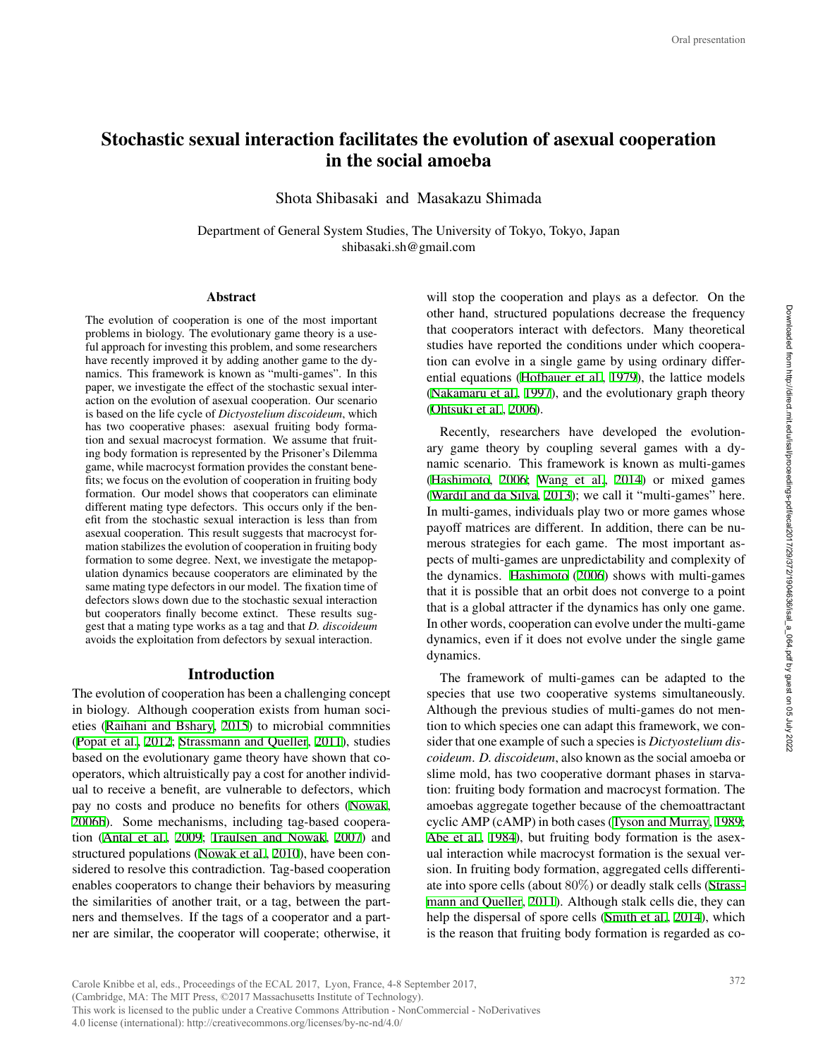# Stochastic sexual interaction facilitates the evolution of asexual cooperation in the social amoeba

Shota Shibasaki and Masakazu Shimada

Department of General System Studies, The University of Tokyo, Tokyo, Japan shibasaki.sh@gmail.com

#### **Abstract**

The evolution of cooperation is one of the most important problems in biology. The evolutionary game theory is a useful approach for investing this problem, and some researchers have recently improved it by adding another game to the dynamics. This framework is known as "multi-games". In this paper, we investigate the effect of the stochastic sexual interaction on the evolution of asexual cooperation. Our scenario is based on the life cycle of *Dictyostelium discoideum*, which has two cooperative phases: asexual fruiting body formation and sexual macrocyst formation. We assume that fruiting body formation is represented by the Prisoner's Dilemma game, while macrocyst formation provides the constant benefits; we focus on the evolution of cooperation in fruiting body formation. Our model shows that cooperators can eliminate different mating type defectors. This occurs only if the benefit from the stochastic sexual interaction is less than from asexual cooperation. This result suggests that macrocyst formation stabilizes the evolution of cooperation in fruiting body formation to some degree. Next, we investigate the metapopulation dynamics because cooperators are eliminated by the same mating type defectors in our model. The fixation time of defectors slows down due to the stochastic sexual interaction but cooperators finally become extinct. These results suggest that a mating type works as a tag and that *D. discoideum* avoids the exploitation from defectors by sexual interaction.

## Introduction

The evolution of cooperation has been a challenging concept in biology. Although cooperation exists from human societies (Raihani and Bshary, 2015) to microbial commnities (Popat et al., 2012; Strassmann and Queller, 2011), studies based on the evolutionary game theory have shown that cooperators, which altruistically pay a cost for another individual to receive a benefit, are vulnerable to defectors, which pay no costs and produce no benefits for others (Nowak, 2006b). Some mechanisms, including tag-based cooperation (Antal et al., 2009; Traulsen and Nowak, 2007) and structured populations (Nowak et al., 2010), have been considered to resolve this contradiction. Tag-based cooperation enables cooperators to change their behaviors by measuring the similarities of another trait, or a tag, between the partners and themselves. If the tags of a cooperator and a partner are similar, the cooperator will cooperate; otherwise, it

will stop the cooperation and plays as a defector. On the other hand, structured populations decrease the frequency that cooperators interact with defectors. Many theoretical studies have reported the conditions under which cooperation can evolve in a single game by using ordinary differential equations (Hofbauer et al., 1979), the lattice models (Nakamaru et al., 1997), and the evolutionary graph theory (Ohtsuki et al., 2006).

Recently, researchers have developed the evolutionary game theory by coupling several games with a dynamic scenario. This framework is known as multi-games (Hashimoto, 2006; Wang et al., 2014) or mixed games (Wardil and da Silva, 2013); we call it "multi-games" here. In multi-games, individuals play two or more games whose payoff matrices are different. In addition, there can be numerous strategies for each game. The most important aspects of multi-games are unpredictability and complexity of the dynamics. Hashimoto (2006) shows with multi-games that it is possible that an orbit does not converge to a point that is a global attracter if the dynamics has only one game. In other words, cooperation can evolve under the multi-game dynamics, even if it does not evolve under the single game dynamics.

The framework of multi-games can be adapted to the species that use two cooperative systems simultaneously. Although the previous studies of multi-games do not mention to which species one can adapt this framework, we consider that one example of such a species is *Dictyostelium discoideum*. *D. discoideum*, also known as the social amoeba or slime mold, has two cooperative dormant phases in starvation: fruiting body formation and macrocyst formation. The amoebas aggregate together because of the chemoattractant cyclic AMP (cAMP) in both cases (Tyson and Murray, 1989; Abe et al., 1984), but fruiting body formation is the asexual interaction while macrocyst formation is the sexual version. In fruiting body formation, aggregated cells differentiate into spore cells (about 80%) or deadly stalk cells (Strassmann and Queller, 2011). Although stalk cells die, they can help the dispersal of spore cells (Smith et al., 2014), which is the reason that fruiting body formation is regarded as co-372 Oral presentation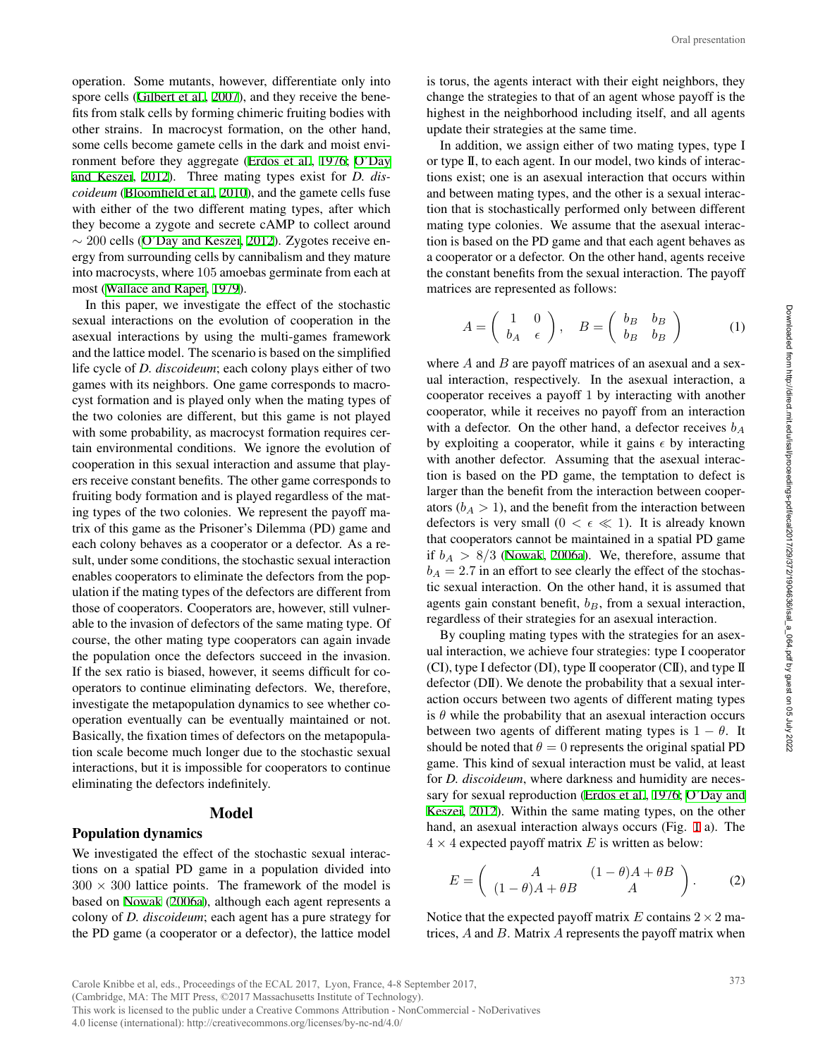operation. Some mutants, however, differentiate only into spore cells (Gilbert et al., 2007), and they receive the benefits from stalk cells by forming chimeric fruiting bodies with other strains. In macrocyst formation, on the other hand, some cells become gamete cells in the dark and moist environment before they aggregate (Erdos et al., 1976; O'Day and Keszei, 2012). Three mating types exist for *D. discoideum* (Bloomfield et al., 2010), and the gamete cells fuse with either of the two different mating types, after which they become a zygote and secrete cAMP to collect around *∼* 200 cells (O'Day and Keszei, 2012). Zygotes receive energy from surrounding cells by cannibalism and they mature into macrocysts, where 105 amoebas germinate from each at

most (Wallace and Raper, 1979). In this paper, we investigate the effect of the stochastic sexual interactions on the evolution of cooperation in the asexual interactions by using the multi-games framework and the lattice model. The scenario is based on the simplified life cycle of *D. discoideum*; each colony plays either of two games with its neighbors. One game corresponds to macrocyst formation and is played only when the mating types of the two colonies are different, but this game is not played with some probability, as macrocyst formation requires certain environmental conditions. We ignore the evolution of cooperation in this sexual interaction and assume that players receive constant benefits. The other game corresponds to fruiting body formation and is played regardless of the mating types of the two colonies. We represent the payoff matrix of this game as the Prisoner's Dilemma (PD) game and each colony behaves as a cooperator or a defector. As a result, under some conditions, the stochastic sexual interaction enables cooperators to eliminate the defectors from the population if the mating types of the defectors are different from those of cooperators. Cooperators are, however, still vulnerable to the invasion of defectors of the same mating type. Of course, the other mating type cooperators can again invade the population once the defectors succeed in the invasion. If the sex ratio is biased, however, it seems difficult for cooperators to continue eliminating defectors. We, therefore, investigate the metapopulation dynamics to see whether cooperation eventually can be eventually maintained or not. Basically, the fixation times of defectors on the metapopulation scale become much longer due to the stochastic sexual interactions, but it is impossible for cooperators to continue eliminating the defectors indefinitely.

#### Model

## Population dynamics

We investigated the effect of the stochastic sexual interactions on a spatial PD game in a population divided into  $300 \times 300$  lattice points. The framework of the model is based on Nowak (2006a), although each agent represents a colony of *D. discoideum*; each agent has a pure strategy for the PD game (a cooperator or a defector), the lattice model

is torus, the agents interact with their eight neighbors, they change the strategies to that of an agent whose payoff is the highest in the neighborhood including itself, and all agents update their strategies at the same time.

In addition, we assign either of two mating types, type I or type II, to each agent. In our model, two kinds of interactions exist; one is an asexual interaction that occurs within and between mating types, and the other is a sexual interaction that is stochastically performed only between different mating type colonies. We assume that the asexual interaction is based on the PD game and that each agent behaves as a cooperator or a defector. On the other hand, agents receive the constant benefits from the sexual interaction. The payoff matrices are represented as follows:

$$
A = \begin{pmatrix} 1 & 0 \\ b_A & \epsilon \end{pmatrix}, \quad B = \begin{pmatrix} b_B & b_B \\ b_B & b_B \end{pmatrix} \tag{1}
$$

where *A* and *B* are payoff matrices of an asexual and a sexual interaction, respectively. In the asexual interaction, a cooperator receives a payoff 1 by interacting with another cooperator, while it receives no payoff from an interaction with a defector. On the other hand, a defector receives *b<sup>A</sup>* by exploiting a cooperator, while it gains  $\epsilon$  by interacting with another defector. Assuming that the asexual interaction is based on the PD game, the temptation to defect is larger than the benefit from the interaction between cooperators  $(b_A > 1)$ , and the benefit from the interaction between defectors is very small  $(0 < \epsilon \ll 1)$ . It is already known that cooperators cannot be maintained in a spatial PD game if  $b_A > 8/3$  (Nowak, 2006a). We, therefore, assume that  $b_A = 2.7$  in an effort to see clearly the effect of the stochastic sexual interaction. On the other hand, it is assumed that agents gain constant benefit, *bB*, from a sexual interaction, regardless of their strategies for an asexual interaction. Oral presentation<br>
eighbors, they<br>
eighbors, they<br>
eighbors, they<br>
expayoff is the<br>
and all agents<br>
g types, type I<br>
ds of interac-<br>
occurs within<br>
exual interac-<br>
ween different<br>
exual interac-<br>
exual interac-<br>
ent behav

By coupling mating types with the strategies for an asexual interaction, we achieve four strategies: type I cooperator (CI), type I defector (DI), type II cooperator (CII), and type II defector (DII). We denote the probability that a sexual interaction occurs between two agents of different mating types is  $\theta$  while the probability that an asexual interaction occurs between two agents of different mating types is  $1 - \theta$ . It should be noted that  $\theta = 0$  represents the original spatial PD game. This kind of sexual interaction must be valid, at least for *D. discoideum*, where darkness and humidity are necessary for sexual reproduction (Erdos et al., 1976; O'Day and Keszei, 2012). Within the same mating types, on the other hand, an asexual interaction always occurs (Fig. 1 a). The  $4 \times 4$  expected payoff matrix *E* is written as below:

$$
E = \left( \begin{array}{cc} A & (1 - \theta)A + \theta B \\ (1 - \theta)A + \theta B & A \end{array} \right). \tag{2}
$$

Notice that the expected payoff matrix  $E$  contains  $2 \times 2$  matrices, *A* and *B*. Matrix *A* represents the payoff matrix when

This work is licensed to the public under a Creative Commons Attribution - NonCommercial - NoDerivatives

4.0 license (international): http://creativecommons.org/licenses/by-nc-nd/4.0/

Carole Knibbe et al, eds., Proceedings of the ECAL 2017, Lyon, France, 4-8 September 2017, (Cambridge, MA: The MIT Press, ©2017 Massachusetts Institute of Technology).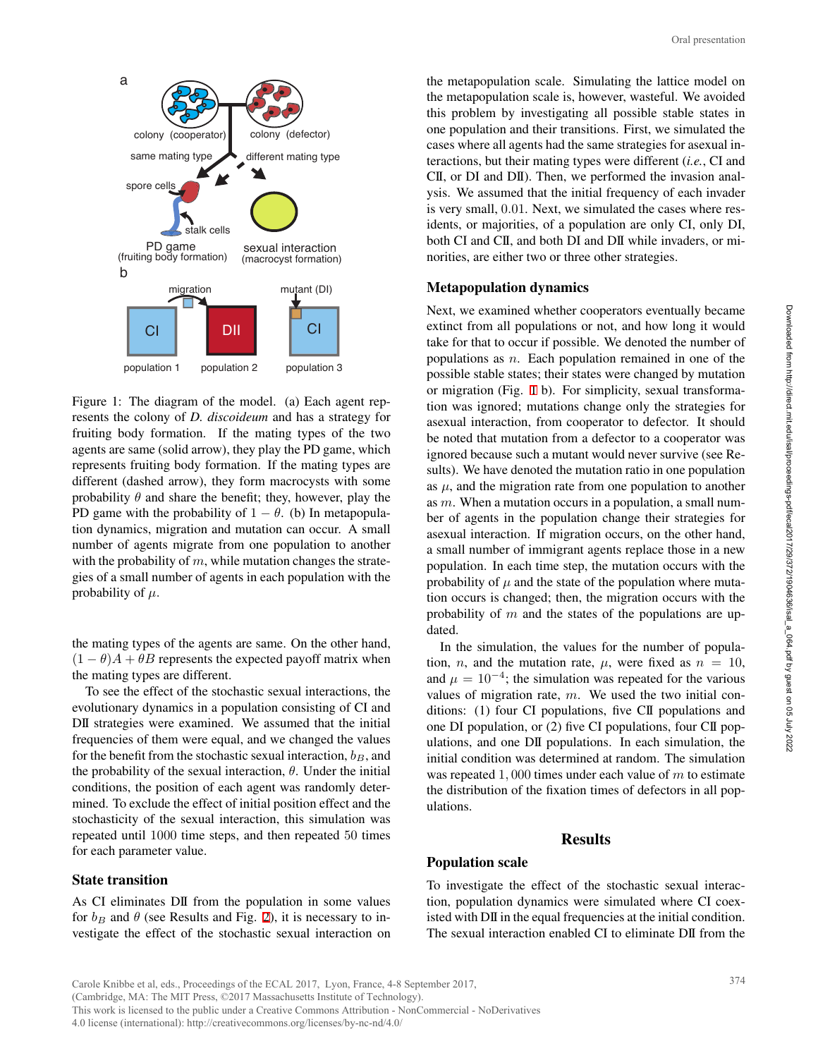

Figure 1: The diagram of the model. (a) Each agent represents the colony of *D. discoideum* and has a strategy for fruiting body formation. If the mating types of the two agents are same (solid arrow), they play the PD game, which represents fruiting body formation. If the mating types are different (dashed arrow), they form macrocysts with some probability  $\theta$  and share the benefit; they, however, play the PD game with the probability of  $1 - \theta$ . (b) In metapopulation dynamics, migration and mutation can occur. A small number of agents migrate from one population to another with the probability of m, while mutation changes the strategies of a small number of agents in each population with the probability of *µ.*

the mating types of the agents are same. On the other hand,  $(1 - \theta)A + \theta B$  represents the expected payoff matrix when the mating types are different.

To see the effect of the stochastic sexual interactions, the evolutionary dynamics in a population consisting of CI and DII strategies were examined. We assumed that the initial frequencies of them were equal, and we changed the values for the benefit from the stochastic sexual interaction, *bB*, and the probability of the sexual interaction, *θ*. Under the initial conditions, the position of each agent was randomly determined. To exclude the effect of initial position effect and the stochasticity of the sexual interaction, this simulation was repeated until 1000 time steps, and then repeated 50 times for each parameter value.

## State transition

As CI eliminates DII from the population in some values for  $b_B$  and  $\theta$  (see Results and Fig. 2), it is necessary to investigate the effect of the stochastic sexual interaction on

the metapopulation scale. Simulating the lattice model on the metapopulation scale is, however, wasteful. We avoided this problem by investigating all possible stable states in one population and their transitions. First, we simulated the cases where all agents had the same strategies for asexual interactions, but their mating types were different (*i.e.*, CI and CII, or DI and DII). Then, we performed the invasion analysis. We assumed that the initial frequency of each invader is very small, 0*.*01. Next, we simulated the cases where residents, or majorities, of a population are only CI, only DI, both CI and CII, and both DI and DII while invaders, or minorities, are either two or three other strategies.

#### Metapopulation dynamics

Next, we examined whether cooperators eventually became extinct from all populations or not, and how long it would take for that to occur if possible. We denoted the number of populations as *n*. Each population remained in one of the possible stable states; their states were changed by mutation or migration (Fig. 1 b). For simplicity, sexual transformation was ignored; mutations change only the strategies for asexual interaction, from cooperator to defector. It should be noted that mutation from a defector to a cooperator was ignored because such a mutant would never survive (see Results). We have denoted the mutation ratio in one population as  $\mu$ , and the migration rate from one population to another as *m*. When a mutation occurs in a population, a small number of agents in the population change their strategies for asexual interaction. If migration occurs, on the other hand, a small number of immigrant agents replace those in a new population. In each time step, the mutation occurs with the probability of  $\mu$  and the state of the population where mutation occurs is changed; then, the migration occurs with the probability of *m* and the states of the populations are updated. Oral presentation<br>tice model on<br>1. We avoided<br>able states in<br>simulated the<br>for asexual in-<br>invasion anal-<br>feach invader<br>ses where res-<br> $\sqrt{C}$ , only DI,<br>vaders, or mi-<br>s.<br>tually became<br>long it would<br>the number of<br>in one o

In the simulation, the values for the number of population, *n*, and the mutation rate,  $\mu$ , were fixed as  $n = 10$ , and  $\mu = 10^{-4}$ ; the simulation was repeated for the various values of migration rate, *m*. We used the two initial conditions: (1) four CI populations, five CII populations and one DI population, or (2) five CI populations, four CII populations, and one DII populations. In each simulation, the initial condition was determined at random. The simulation was repeated 1*,* 000 times under each value of *m* to estimate the distribution of the fixation times of defectors in all populations.

## Results

## Population scale

To investigate the effect of the stochastic sexual interaction, population dynamics were simulated where CI coexisted with DII in the equal frequencies at the initial condition. The sexual interaction enabled CI to eliminate DII from the

Carole Knibbe et al, eds., Proceedings of the ECAL 2017, Lyon, France, 4-8 September 2017, (Cambridge, MA: The MIT Press, ©2017 Massachusetts Institute of Technology). This work is licensed to the public under a Creative Commons Attribution - NonCommercial - NoDerivatives 4.0 license (international): http://creativecommons.org/licenses/by-nc-nd/4.0/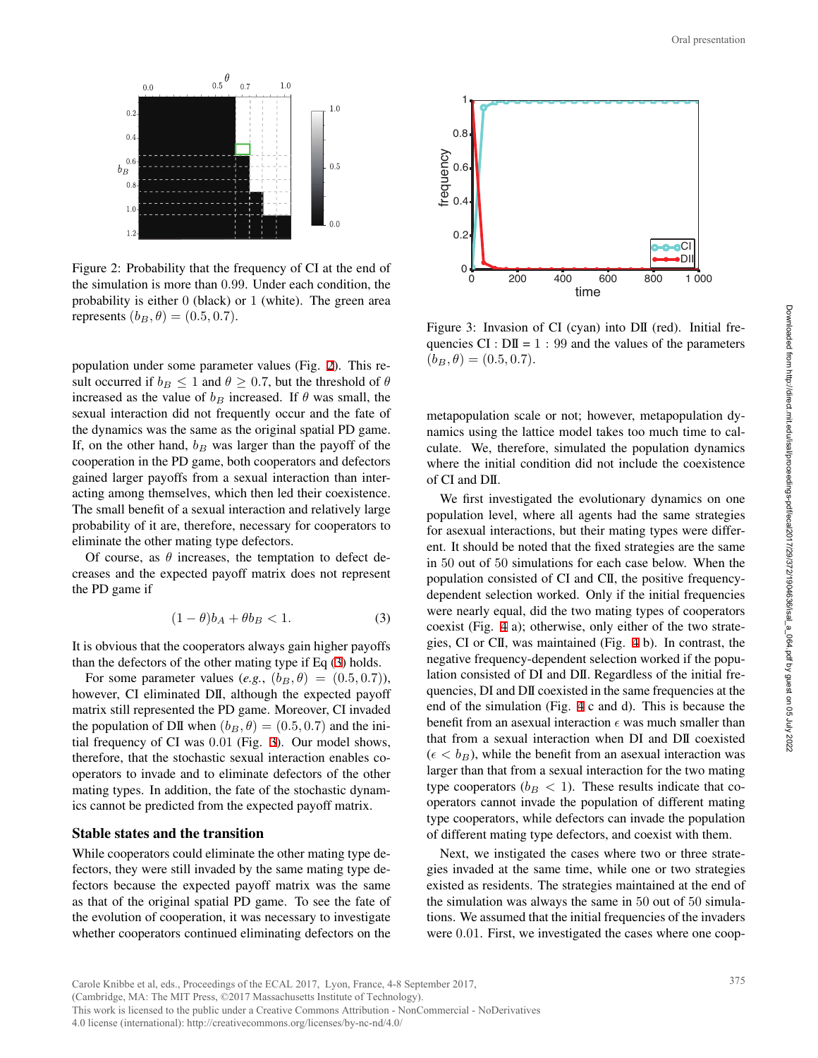

Figure 2: Probability that the frequency of CI at the end of the simulation is more than 0*.*99. Under each condition, the probability is either 0 (black) or 1 (white). The green area *represents*  $(b_B, θ) = (0.5, 0.7)$ .

population under some parameter values (Fig. 2). This result occurred if  $b_B \leq 1$  and  $\theta \geq 0.7$ , but the threshold of  $\theta$ increased as the value of  $b_B$  increased. If  $\theta$  was small, the sexual interaction did not frequently occur and the fate of the dynamics was the same as the original spatial PD game. If, on the other hand, *b<sup>B</sup>* was larger than the payoff of the cooperation in the PD game, both cooperators and defectors gained larger payoffs from a sexual interaction than interacting among themselves, which then led their coexistence. The small benefit of a sexual interaction and relatively large probability of it are, therefore, necessary for cooperators to eliminate the other mating type defectors.

Of course, as  $\theta$  increases, the temptation to defect decreases and the expected payoff matrix does not represent the PD game if

$$
(1 - \theta)b_A + \theta b_B < 1. \tag{3}
$$

It is obvious that the cooperators always gain higher payoffs than the defectors of the other mating type if Eq (3) holds.

For some parameter values  $(e.g., (b_B, \theta) = (0.5, 0.7))$ , however, CI eliminated DII, although the expected payoff matrix still represented the PD game. Moreover, CI invaded the population of DII when  $(b_B, \theta) = (0.5, 0.7)$  and the initial frequency of CI was 0*.*01 (Fig. 3). Our model shows, therefore, that the stochastic sexual interaction enables cooperators to invade and to eliminate defectors of the other mating types. In addition, the fate of the stochastic dynamics cannot be predicted from the expected payoff matrix.

#### Stable states and the transition

While cooperators could eliminate the other mating type defectors, they were still invaded by the same mating type defectors because the expected payoff matrix was the same as that of the original spatial PD game. To see the fate of the evolution of cooperation, it was necessary to investigate whether cooperators continued eliminating defectors on the



Figure 3: Invasion of CI (cyan) into DII (red). Initial frequencies  $CI : DII = 1 : 99$  and the values of the parameters  $(b_B, \theta) = (0.5, 0.7).$ 

metapopulation scale or not; however, metapopulation dynamics using the lattice model takes too much time to calculate. We, therefore, simulated the population dynamics where the initial condition did not include the coexistence of CI and DII.

We first investigated the evolutionary dynamics on one population level, where all agents had the same strategies for asexual interactions, but their mating types were different. It should be noted that the fixed strategies are the same in 50 out of 50 simulations for each case below. When the population consisted of CI and CII, the positive frequencydependent selection worked. Only if the initial frequencies were nearly equal, did the two mating types of cooperators coexist (Fig. 4 a); otherwise, only either of the two strategies, CI or CII, was maintained (Fig. 4 b). In contrast, the negative frequency-dependent selection worked if the population consisted of DI and DII. Regardless of the initial frequencies, DI and DII coexisted in the same frequencies at the end of the simulation (Fig. 4 c and d). This is because the benefit from an asexual interaction  $\epsilon$  was much smaller than that from a sexual interaction when DI and DII coexisted  $(\epsilon < b_B)$ , while the benefit from an asexual interaction was larger than that from a sexual interaction for the two mating type cooperators ( $b_B < 1$ ). These results indicate that cooperators cannot invade the population of different mating type cooperators, while defectors can invade the population of different mating type defectors, and coexist with them. Oral presentation<br> **375** Oral presentation<br> **375** Oral presentation<br> **375** Oral production dy-<br> **375** Oral production dynamics<br> **475** Oral production dynamics<br>
amics on one strategies<br>
s were differ-<br>
same the same very me

Next, we instigated the cases where two or three strategies invaded at the same time, while one or two strategies existed as residents. The strategies maintained at the end of the simulation was always the same in 50 out of 50 simulations. We assumed that the initial frequencies of the invaders were 0*.*01. First, we investigated the cases where one coop-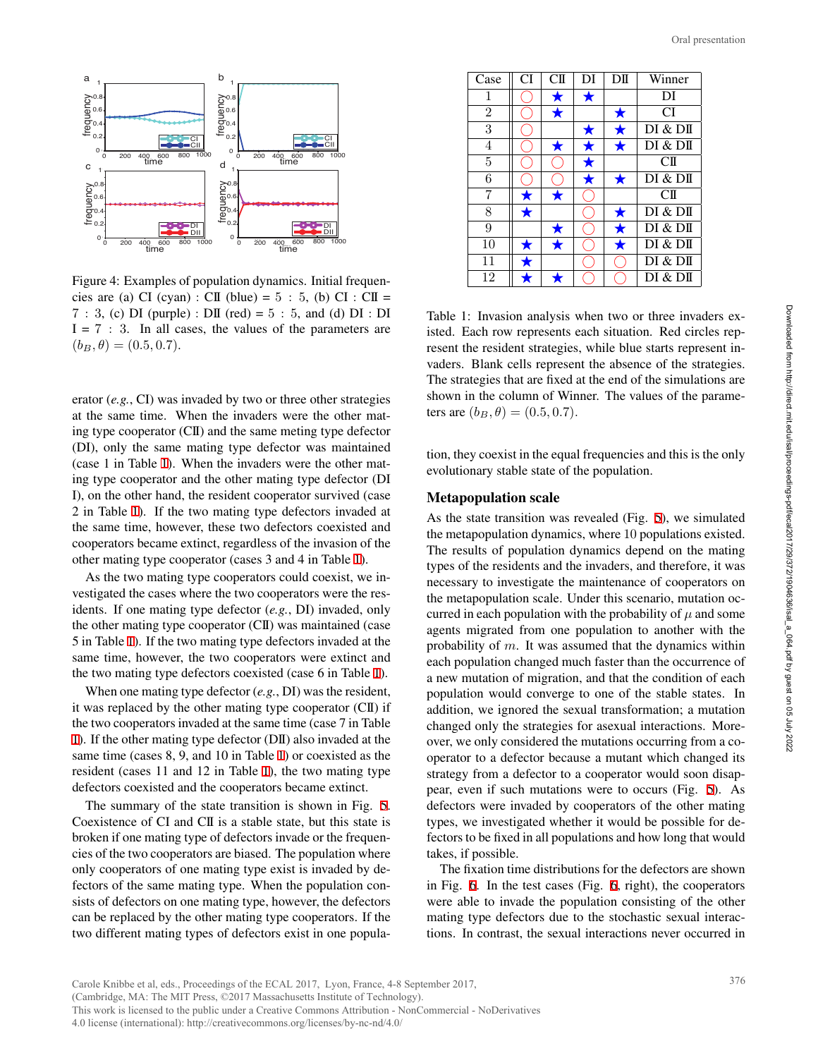

Figure 4: Examples of population dynamics. Initial frequencies are (a) CI (cyan) : CII (blue) =  $5:5$ , (b) CI : CII = 7 : 3, (c) DI (purple) : DII (red) =  $5:5$ , and (d) DI : DI  $I = 7 : 3$ . In all cases, the values of the parameters are  $(b_B, \theta) = (0.5, 0.7).$ 

erator (*e.g.*, CI) was invaded by two or three other strategies at the same time. When the invaders were the other mating type cooperator (CII) and the same meting type defector (DI), only the same mating type defector was maintained (case 1 in Table 1). When the invaders were the other mating type cooperator and the other mating type defector (DI I), on the other hand, the resident cooperator survived (case 2 in Table 1). If the two mating type defectors invaded at the same time, however, these two defectors coexisted and cooperators became extinct, regardless of the invasion of the other mating type cooperator (cases 3 and 4 in Table 1).

As the two mating type cooperators could coexist, we investigated the cases where the two cooperators were the residents. If one mating type defector (*e.g.*, DI) invaded, only the other mating type cooperator (CII) was maintained (case 5 in Table 1). If the two mating type defectors invaded at the same time, however, the two cooperators were extinct and the two mating type defectors coexisted (case 6 in Table 1).

When one mating type defector (*e.g.*, DI) was the resident, it was replaced by the other mating type cooperator (CII) if the two cooperators invaded at the same time (case 7 in Table 1). If the other mating type defector (DII) also invaded at the same time (cases 8, 9, and 10 in Table 1) or coexisted as the resident (cases 11 and 12 in Table 1), the two mating type defectors coexisted and the cooperators became extinct.

The summary of the state transition is shown in Fig. 5. Coexistence of CI and CII is a stable state, but this state is broken if one mating type of defectors invade or the frequencies of the two cooperators are biased. The population where only cooperators of one mating type exist is invaded by defectors of the same mating type. When the population consists of defectors on one mating type, however, the defectors can be replaced by the other mating type cooperators. If the two different mating types of defectors exist in one popula-

| Case           | CI         | CШ         | DI | DШ         | Winner    |
|----------------|------------|------------|----|------------|-----------|
| 1              |            |            |    |            | DI        |
| $\overline{2}$ |            | $\bigstar$ |    | ★          | CI        |
| 3              |            |            |    |            | DI & DII  |
| 4              |            |            |    |            | DI & DI   |
| 5              |            |            |    |            | $\rm CII$ |
| 6              |            |            | ★  | ★          | DI & DI   |
| 7              | ★          | *          |    |            | $\rm CII$ |
| 8              | $\bigstar$ |            |    | ★          | DI & DI   |
| 9              |            | $\bigstar$ |    | $\bigstar$ | DI & DI   |
| 10             |            |            |    | $\bigstar$ | DI & DI   |
| 11             |            |            |    |            | DI & DI   |
| 12             |            |            |    |            | DI & DI   |

Table 1: Invasion analysis when two or three invaders existed. Each row represents each situation. Red circles represent the resident strategies, while blue starts represent invaders. Blank cells represent the absence of the strategies. The strategies that are fixed at the end of the simulations are shown in the column of Winner. The values of the parameters are  $(b_B, \theta) = (0.5, 0.7)$ .

tion, they coexist in the equal frequencies and this is the only evolutionary stable state of the population.

## Metapopulation scale

As the state transition was revealed (Fig. 5), we simulated the metapopulation dynamics, where 10 populations existed. The results of population dynamics depend on the mating types of the residents and the invaders, and therefore, it was necessary to investigate the maintenance of cooperators on the metapopulation scale. Under this scenario, mutation occurred in each population with the probability of  $\mu$  and some agents migrated from one population to another with the probability of *m*. It was assumed that the dynamics within each population changed much faster than the occurrence of a new mutation of migration, and that the condition of each population would converge to one of the stable states. In addition, we ignored the sexual transformation; a mutation changed only the strategies for asexual interactions. Moreover, we only considered the mutations occurring from a cooperator to a defector because a mutant which changed its strategy from a defector to a cooperator would soon disappear, even if such mutations were to occurs (Fig. 5). As defectors were invaded by cooperators of the other mating types, we investigated whether it would be possible for defectors to be fixed in all populations and how long that would takes, if possible. 376 Oral presentation

The fixation time distributions for the defectors are shown in Fig. 6. In the test cases (Fig. 6, right), the cooperators were able to invade the population consisting of the other mating type defectors due to the stochastic sexual interactions. In contrast, the sexual interactions never occurred in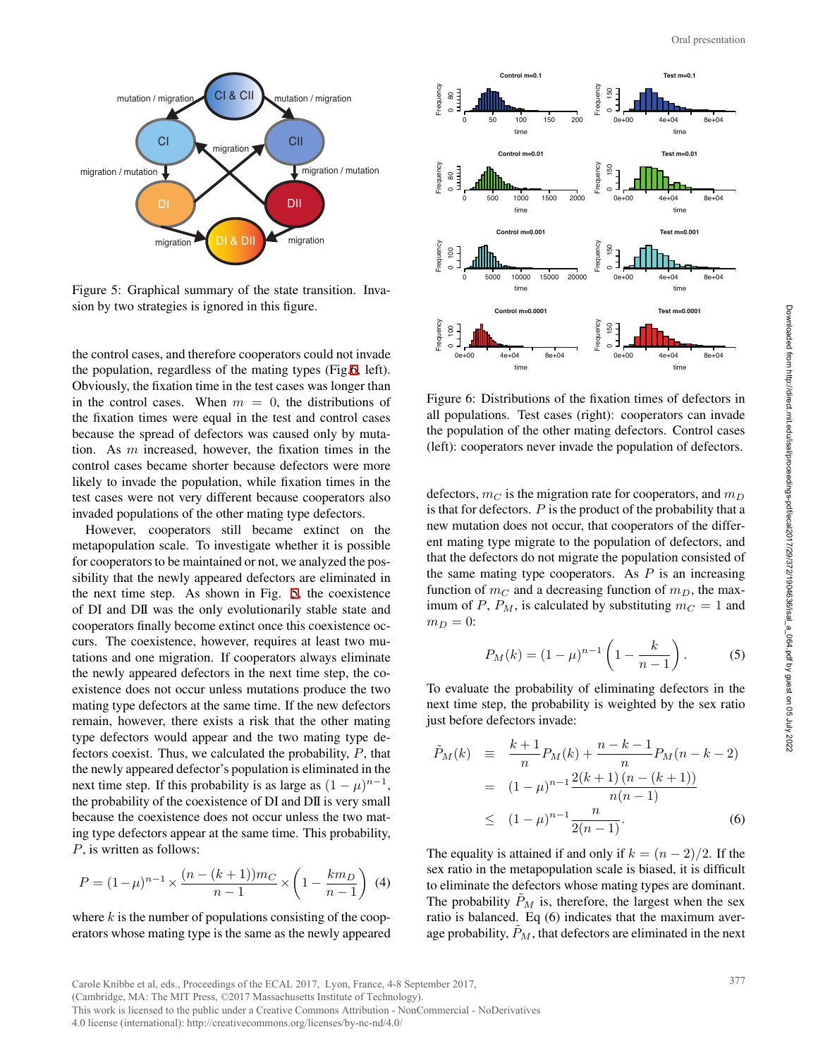

Figure 5: Graphical summary of the state transition. Invasion by two strategies is ignored in this figure.

the control cases, and therefore cooperators could not invade the population, regardless of the mating types (Fig.6, left). Obviously, the fixation time in the test cases was longer than in the control cases. When  $m = 0$ , the distributions of the fixation times were equal in the test and control cases because the spread of defectors was caused only by mutation. As *m* increased, however, the fixation times in the control cases became shorter because defectors were more likely to invade the population, while fixation times in the test cases were not very different because cooperators also invaded populations of the other mating type defectors.

However, cooperators still became extinct on the metapopulation scale. To investigate whether it is possible for cooperators to be maintained or not, we analyzed the possibility that the newly appeared defectors are eliminated in the next time step. As shown in Fig. 5, the coexistence of DI and DII was the only evolutionarily stable state and cooperators finally become extinct once this coexistence occurs. The coexistence, however, requires at least two mutations and one migration. If cooperators always eliminate the newly appeared defectors in the next time step, the coexistence does not occur unless mutations produce the two mating type defectors at the same time. If the new defectors remain, however, there exists a risk that the other mating type defectors would appear and the two mating type defectors coexist. Thus, we calculated the probability, *P*, that the newly appeared defector's population is eliminated in the next time step. If this probability is as large as  $(1 - \mu)^{n-1}$ , the probability of the coexistence of DI and DII is very small because the coexistence does not occur unless the two mating type defectors appear at the same time. This probability, *P*, is written as follows:

$$
P = (1 - \mu)^{n-1} \times \frac{(n - (k+1))m_C}{n-1} \times \left(1 - \frac{k m_D}{n-1}\right)
$$
(4)

where *k* is the number of populations consisting of the cooperators whose mating type is the same as the newly appeared



Figure 6: Distributions of the fixation times of defectors in all populations. Test cases (right): cooperators can invade the population of the other mating defectors. Control cases (left): cooperators never invade the population of defectors.

defectors,  $m_C$  is the migration rate for cooperators, and  $m_D$ is that for defectors. *P* is the product of the probability that a new mutation does not occur, that cooperators of the different mating type migrate to the population of defectors, and that the defectors do not migrate the population consisted of the same mating type cooperators. As  $P$  is an increasing function of  $m<sub>C</sub>$  and a decreasing function of  $m<sub>D</sub>$ , the maximum of *P*,  $P_M$ , is calculated by substituting  $m_C = 1$  and  $m_D = 0$ :

$$
P_M(k) = (1 - \mu)^{n-1} \left( 1 - \frac{k}{n-1} \right). \tag{5}
$$

To evaluate the probability of eliminating defectors in the next time step, the probability is weighted by the sex ratio just before defectors invade:

$$
\tilde{P}_M(k) = \frac{k+1}{n} P_M(k) + \frac{n-k-1}{n} P_M(n-k-2)
$$
  
= 
$$
(1-\mu)^{n-1} \frac{2(k+1)(n-(k+1))}{n(n-1)}
$$
  

$$
\leq (1-\mu)^{n-1} \frac{n}{2(n-1)}.
$$
 (6)

The equality is attained if and only if  $k = (n-2)/2$ . If the sex ratio in the metapopulation scale is biased, it is difficult to eliminate the defectors whose mating types are dominant. The probability  $\ddot{P}_M$  is, therefore, the largest when the sex ratio is balanced. Eq (6) indicates that the maximum average probability,  $\tilde{P}_M$ , that defectors are eliminated in the next

Carole Knibbe et al, eds., Proceedings of the ECAL 2017, Lyon, France, 4-8 September 2017,

(Cambridge, MA: The MIT Press, ©2017 Massachusetts Institute of Technology).

This work is licensed to the public under a Creative Commons Attribution - NonCommercial - NoDerivatives 4.0 license (international): http://creativecommons.org/licenses/by-nc-nd/4.0/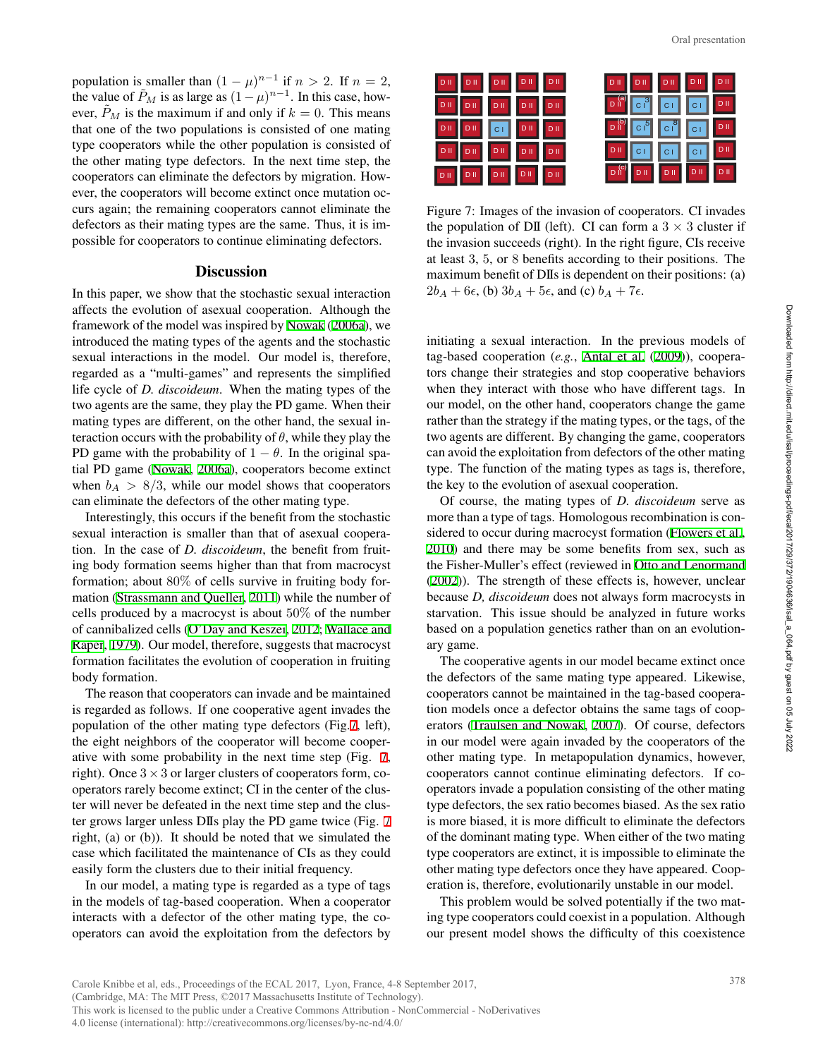population is smaller than  $(1 - \mu)^{n-1}$  if  $n > 2$ . If  $n = 2$ , the value of  $\tilde{P}_M$  is as large as  $(1 - \mu)^{n-1}$ . In this case, however,  $\ddot{P}_M$  is the maximum if and only if  $k = 0$ . This means that one of the two populations is consisted of one mating type cooperators while the other population is consisted of the other mating type defectors. In the next time step, the cooperators can eliminate the defectors by migration. However, the cooperators will become extinct once mutation occurs again; the remaining cooperators cannot eliminate the defectors as their mating types are the same. Thus, it is impossible for cooperators to continue eliminating defectors.

## **Discussion**

In this paper, we show that the stochastic sexual interaction affects the evolution of asexual cooperation. Although the framework of the model was inspired by Nowak (2006a), we introduced the mating types of the agents and the stochastic sexual interactions in the model. Our model is, therefore, regarded as a "multi-games" and represents the simplified life cycle of *D. discoideum*. When the mating types of the two agents are the same, they play the PD game. When their mating types are different, on the other hand, the sexual interaction occurs with the probability of  $\theta$ , while they play the PD game with the probability of  $1 - \theta$ . In the original spatial PD game (Nowak, 2006a), cooperators become extinct when  $b_A > 8/3$ , while our model shows that cooperators can eliminate the defectors of the other mating type.

Interestingly, this occurs if the benefit from the stochastic sexual interaction is smaller than that of asexual cooperation. In the case of *D. discoideum*, the benefit from fruiting body formation seems higher than that from macrocyst formation; about 80% of cells survive in fruiting body formation (Strassmann and Queller, 2011) while the number of cells produced by a macrocyst is about 50% of the number of cannibalized cells (O'Day and Keszei, 2012; Wallace and Raper, 1979). Our model, therefore, suggests that macrocyst formation facilitates the evolution of cooperation in fruiting body formation.

The reason that cooperators can invade and be maintained is regarded as follows. If one cooperative agent invades the population of the other mating type defectors (Fig.7, left), the eight neighbors of the cooperator will become cooperative with some probability in the next time step (Fig. 7, right). Once  $3 \times 3$  or larger clusters of cooperators form, cooperators rarely become extinct; CI in the center of the cluster will never be defeated in the next time step and the cluster grows larger unless DIIs play the PD game twice (Fig. 7 right, (a) or (b)). It should be noted that we simulated the case which facilitated the maintenance of CIs as they could easily form the clusters due to their initial frequency.

In our model, a mating type is regarded as a type of tags in the models of tag-based cooperation. When a cooperator interacts with a defector of the other mating type, the cooperators can avoid the exploitation from the defectors by

| DII DII DII DII DII |                                                                                                                  |
|---------------------|------------------------------------------------------------------------------------------------------------------|
|                     | DII CI CI DII                                                                                                    |
| DII DII CI DII DII  | $\begin{array}{ c c c c c c }\hline \texttt{D}} & \texttt{C} & \texttt{C} & \texttt{C} & \texttt{D} \end{array}$ |
|                     | DI CI CI CI DI                                                                                                   |
|                     | DII DII DII DII DII                                                                                              |

Figure 7: Images of the invasion of cooperators. CI invades the population of DII (left). CI can form a  $3 \times 3$  cluster if the invasion succeeds (right). In the right figure, CIs receive at least 3, 5, or 8 benefits according to their positions. The maximum benefit of DIIs is dependent on their positions: (a)  $2b_A + 6\epsilon$ , (b)  $3b_A + 5\epsilon$ , and (c)  $b_A + 7\epsilon$ .

initiating a sexual interaction. In the previous models of tag-based cooperation (*e.g.*, Antal et al. (2009)), cooperators change their strategies and stop cooperative behaviors when they interact with those who have different tags. In our model, on the other hand, cooperators change the game rather than the strategy if the mating types, or the tags, of the two agents are different. By changing the game, cooperators can avoid the exploitation from defectors of the other mating type. The function of the mating types as tags is, therefore, the key to the evolution of asexual cooperation.

Of course, the mating types of *D. discoideum* serve as more than a type of tags. Homologous recombination is considered to occur during macrocyst formation (Flowers et al., 2010) and there may be some benefits from sex, such as the Fisher-Muller's effect (reviewed in Otto and Lenormand (2002)). The strength of these effects is, however, unclear because *D, discoideum* does not always form macrocysts in starvation. This issue should be analyzed in future works based on a population genetics rather than on an evolutionary game.

The cooperative agents in our model became extinct once the defectors of the same mating type appeared. Likewise, cooperators cannot be maintained in the tag-based cooperation models once a defector obtains the same tags of cooperators (Traulsen and Nowak, 2007). Of course, defectors in our model were again invaded by the cooperators of the other mating type. In metapopulation dynamics, however, cooperators cannot continue eliminating defectors. If cooperators invade a population consisting of the other mating type defectors, the sex ratio becomes biased. As the sex ratio is more biased, it is more difficult to eliminate the defectors of the dominant mating type. When either of the two mating type cooperators are extinct, it is impossible to eliminate the other mating type defectors once they have appeared. Cooperation is, therefore, evolutionarily unstable in our model. 378 Oral presentation

This problem would be solved potentially if the two mating type cooperators could coexist in a population. Although our present model shows the difficulty of this coexistence